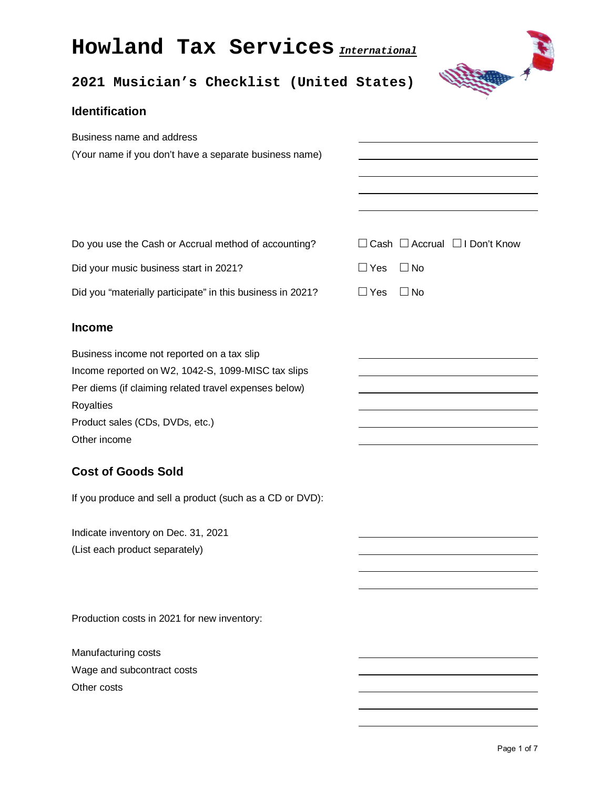# **Howland Tax Services** *International*



## **2021 Musician's Checklist (United States)**

#### **Identification**

| Business name and address<br>(Your name if you don't have a separate business name)                                                                                                                                       |                                                |
|---------------------------------------------------------------------------------------------------------------------------------------------------------------------------------------------------------------------------|------------------------------------------------|
| Do you use the Cash or Accrual method of accounting?                                                                                                                                                                      | $\Box$ Cash $\Box$ Accrual $\Box$ I Don't Know |
| Did your music business start in 2021?                                                                                                                                                                                    | $\Box$ Yes<br>$\square$ No                     |
| Did you "materially participate" in this business in 2021?                                                                                                                                                                | $\square$ No<br>$\Box$ Yes                     |
| <b>Income</b>                                                                                                                                                                                                             |                                                |
| Business income not reported on a tax slip<br>Income reported on W2, 1042-S, 1099-MISC tax slips<br>Per diems (if claiming related travel expenses below)<br>Royalties<br>Product sales (CDs, DVDs, etc.)<br>Other income |                                                |
| <b>Cost of Goods Sold</b>                                                                                                                                                                                                 |                                                |
| If you produce and sell a product (such as a CD or DVD):                                                                                                                                                                  |                                                |
| Indicate inventory on Dec. 31, 2021<br>(List each product separately)                                                                                                                                                     |                                                |

Production costs in 2021 for new inventory:

Manufacturing costs Wage and subcontract costs Other costs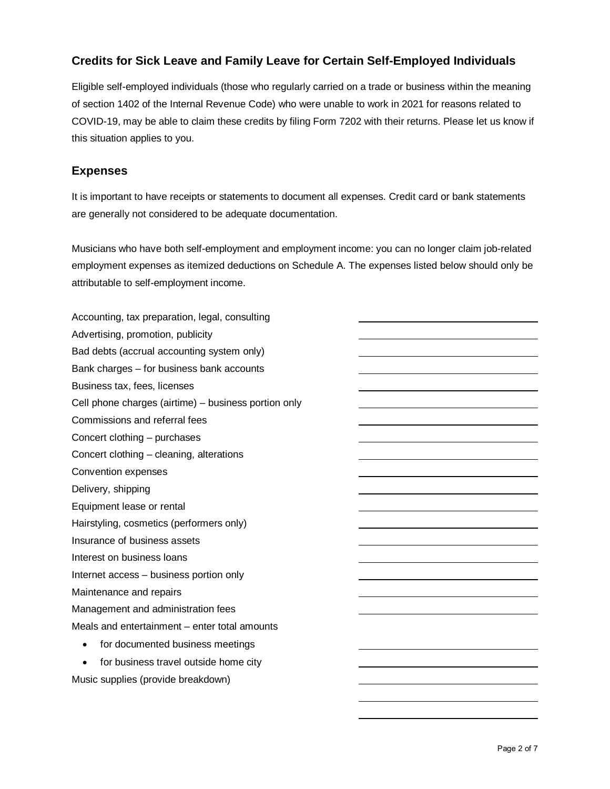#### **Credits for Sick Leave and Family Leave for Certain Self-Employed Individuals**

Eligible self-employed individuals (those who regularly carried on a trade or business within the meaning of section 1402 of the Internal Revenue Code) who were unable to work in 2021 for reasons related to COVID-19, may be able to claim these credits by filing Form 7202 with their returns. Please let us know if this situation applies to you.

#### **Expenses**

It is important to have receipts or statements to document all expenses. Credit card or bank statements are generally not considered to be adequate documentation.

Musicians who have both self-employment and employment income: you can no longer claim job-related employment expenses as itemized deductions on Schedule A. The expenses listed below should only be attributable to self-employment income.

Accounting, tax preparation, legal, consulting Advertising, promotion, publicity Bad debts (accrual accounting system only) Bank charges – for business bank accounts Business tax, fees, licenses Cell phone charges (airtime) – business portion only Commissions and referral fees Concert clothing – purchases Concert clothing – cleaning, alterations Convention expenses Delivery, shipping Equipment lease or rental Hairstyling, cosmetics (performers only) Insurance of business assets Interest on business loans Internet access – business portion only Maintenance and repairs Management and administration fees Meals and entertainment – enter total amounts • for documented business meetings

• for business travel outside home city Music supplies (provide breakdown)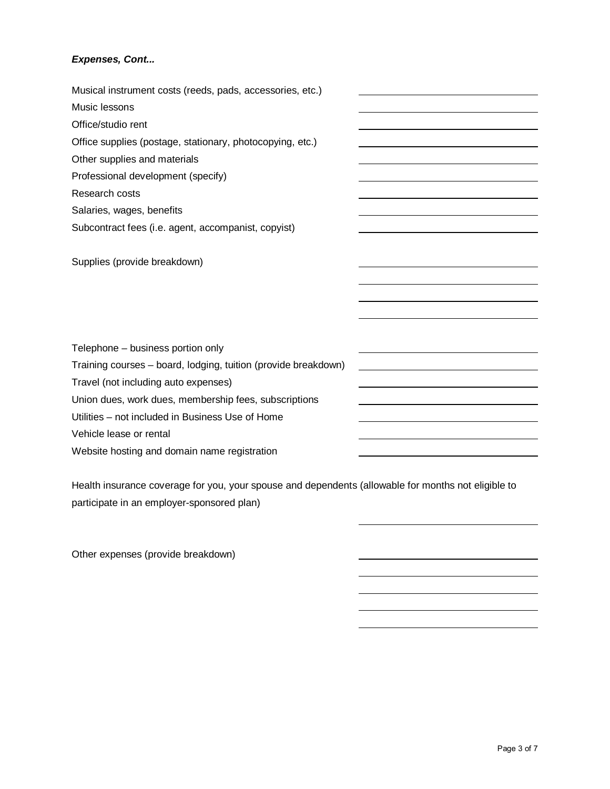#### *Expenses, Cont...*

| Musical instrument costs (reeds, pads, accessories, etc.)      |  |
|----------------------------------------------------------------|--|
| Music lessons                                                  |  |
| Office/studio rent                                             |  |
| Office supplies (postage, stationary, photocopying, etc.)      |  |
| Other supplies and materials                                   |  |
| Professional development (specify)                             |  |
| Research costs                                                 |  |
| Salaries, wages, benefits                                      |  |
| Subcontract fees (i.e. agent, accompanist, copyist)            |  |
|                                                                |  |
| Supplies (provide breakdown)                                   |  |
|                                                                |  |
|                                                                |  |
|                                                                |  |
|                                                                |  |
| Telephone - business portion only                              |  |
| Training courses – board, lodging, tuition (provide breakdown) |  |
| Travel (not including auto expenses)                           |  |
| Union dues, work dues, membership fees, subscriptions          |  |
| Utilities - not included in Business Use of Home               |  |
| Vehicle lease or rental                                        |  |
| Website hosting and domain name registration                   |  |

Health insurance coverage for you, your spouse and dependents (allowable for months not eligible to participate in an employer-sponsored plan)

Other expenses (provide breakdown)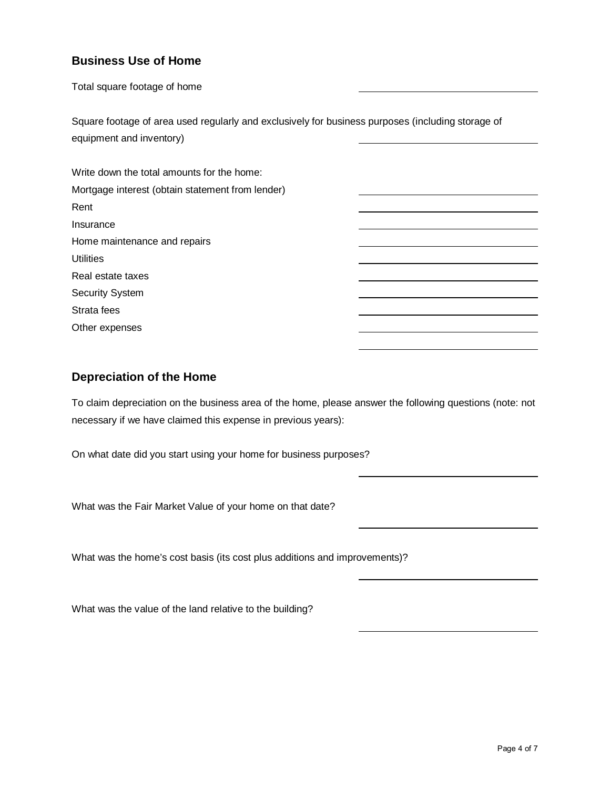#### **Business Use of Home**

Total square footage of home

Square footage of area used regularly and exclusively for business purposes (including storage of equipment and inventory)

Write down the total amounts for the home: Mortgage interest (obtain statement from lender) Rent Insurance Home maintenance and repairs **Utilities** Real estate taxes Security System Strata fees Other expenses

#### **Depreciation of the Home**

To claim depreciation on the business area of the home, please answer the following questions (note: not necessary if we have claimed this expense in previous years):

On what date did you start using your home for business purposes?

What was the Fair Market Value of your home on that date?

What was the home's cost basis (its cost plus additions and improvements)?

What was the value of the land relative to the building?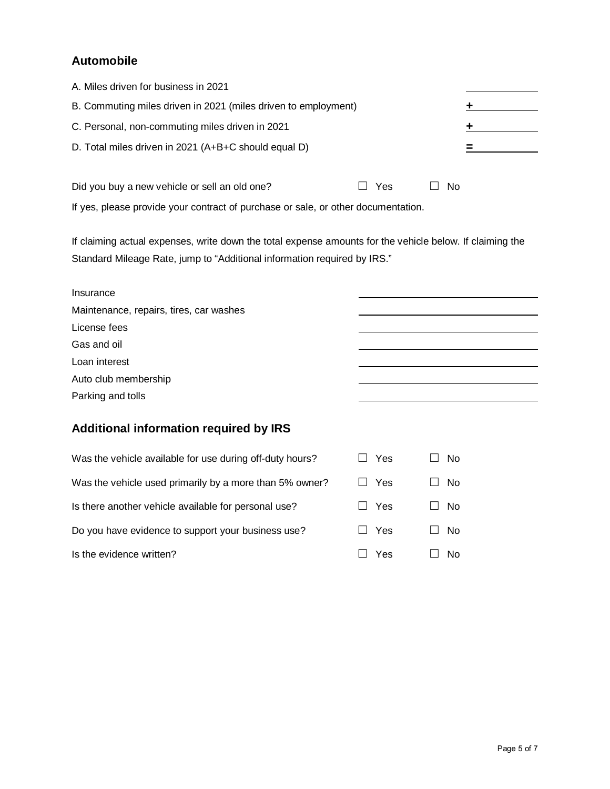#### **Automobile**

| A. Miles driven for business in 2021                           |     |    |  |
|----------------------------------------------------------------|-----|----|--|
| B. Commuting miles driven in 2021 (miles driven to employment) |     |    |  |
| C. Personal, non-commuting miles driven in 2021                |     |    |  |
| D. Total miles driven in 2021 (A+B+C should equal D)           |     |    |  |
| Did you buy a new vehicle or sell an old one?                  | Yes | Nο |  |

If yes, please provide your contract of purchase or sale, or other documentation.

If claiming actual expenses, write down the total expense amounts for the vehicle below. If claiming the Standard Mileage Rate, jump to "Additional information required by IRS."

| Insurance                               |  |
|-----------------------------------------|--|
| Maintenance, repairs, tires, car washes |  |
| License fees                            |  |
| Gas and oil                             |  |
| Loan interest                           |  |
| Auto club membership                    |  |
| Parking and tolls                       |  |

#### **Additional information required by IRS**

| Was the vehicle available for use during off-duty hours? | Yes        | N <sub>0</sub> |
|----------------------------------------------------------|------------|----------------|
| Was the vehicle used primarily by a more than 5% owner?  | <b>Yes</b> | N <sub>0</sub> |
| Is there another vehicle available for personal use?     | Yes        | N <sub>0</sub> |
| Do you have evidence to support your business use?       | <b>Yes</b> | N <sub>0</sub> |
| Is the evidence written?                                 | Yes        | No             |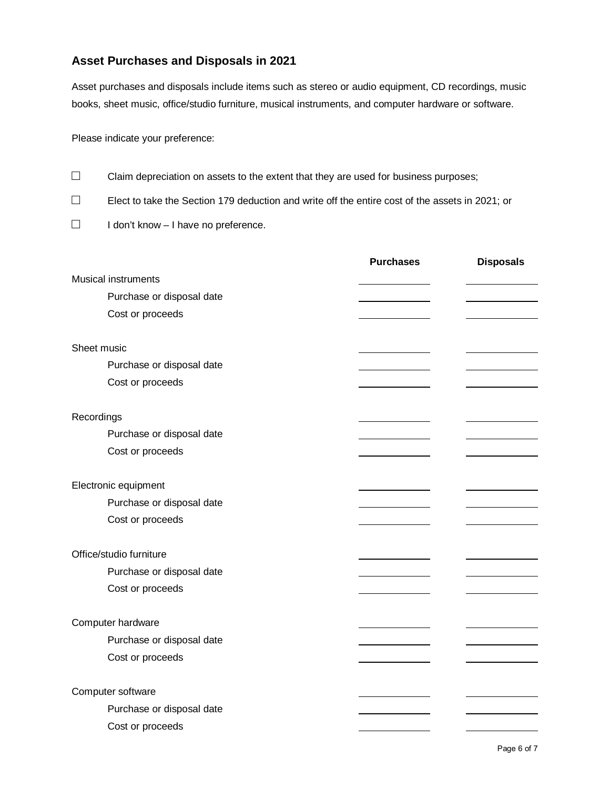#### **Asset Purchases and Disposals in 2021**

Asset purchases and disposals include items such as stereo or audio equipment, CD recordings, music books, sheet music, office/studio furniture, musical instruments, and computer hardware or software.

Please indicate your preference:

- **□** Claim depreciation on assets to the extent that they are used for business purposes;
- **□** Elect to take the Section 179 deduction and write off the entire cost of the assets in 2021; or
- **□** I don't know I have no preference.

|                            | <b>Purchases</b> | <b>Disposals</b> |
|----------------------------|------------------|------------------|
| <b>Musical instruments</b> |                  |                  |
| Purchase or disposal date  |                  |                  |
| Cost or proceeds           |                  |                  |
|                            |                  |                  |
| Sheet music                |                  |                  |
| Purchase or disposal date  |                  |                  |
| Cost or proceeds           |                  |                  |
|                            |                  |                  |
| Recordings                 |                  |                  |
| Purchase or disposal date  |                  |                  |
| Cost or proceeds           |                  |                  |
|                            |                  |                  |
| Electronic equipment       |                  |                  |
| Purchase or disposal date  |                  |                  |
| Cost or proceeds           |                  |                  |
|                            |                  |                  |
| Office/studio furniture    |                  |                  |
| Purchase or disposal date  |                  |                  |
| Cost or proceeds           |                  |                  |
|                            |                  |                  |
| Computer hardware          |                  |                  |
| Purchase or disposal date  |                  |                  |
| Cost or proceeds           |                  |                  |
|                            |                  |                  |
| Computer software          |                  |                  |
| Purchase or disposal date  |                  |                  |
| Cost or proceeds           |                  |                  |
|                            |                  |                  |